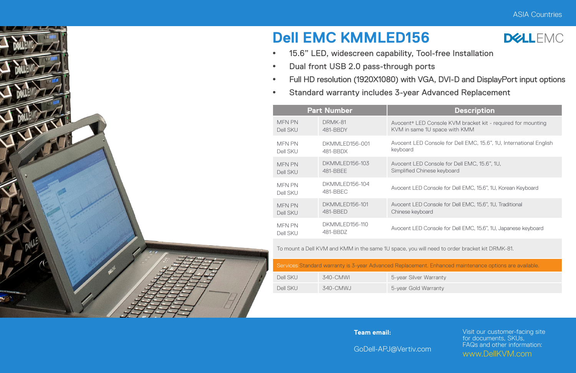## **Dell EMC KMMLED156**



- \* 15.6" LED, widescreen capability, Tool-free Installation
- Dual front USB 2.0 pass-through ports
- Full HD resolution (1920X1080) with VGA, DVI-D and DisplayPort input options
- <sup>•</sup> Standard warranty includes 3-year Advanced Replacement

|                                                          | <b>Part Number</b>          | <b>Description</b>                                                                            |  |  |
|----------------------------------------------------------|-----------------------------|-----------------------------------------------------------------------------------------------|--|--|
| <b>MFN PN</b><br>Dell SKU                                | DRMK-81<br>481-BBDY         | Avocent® LED Console KVM bracket kit - required for mounting<br>KVM in same 1U space with KMM |  |  |
| <b>MFN PN</b><br>Dell SKU                                | DKMMI FD156-001<br>481-BBDX | Avocent LED Console for Dell EMC, 15.6", 1U, International English<br>kevboard                |  |  |
| DKMMI FD156-103<br><b>MFN PN</b><br>481-BBFF<br>Dell SKU |                             | Avocent LED Console for Dell EMC, 15.6", 1U,<br>Simplified Chinese keyboard                   |  |  |
| <b>MFN PN</b><br>Dell SKU                                | DKMMLED156-104<br>481-BBFC  | Avocent LED Console for Dell EMC, 15.6", 1U, Korean Keyboard                                  |  |  |
| DKMMI FD156-101<br><b>MEN PN</b><br>481-BBFD<br>Dell SKU |                             | Avocent LED Console for Dell EMC, 15.6", 1U. Traditional<br>Chinese keyboard                  |  |  |
| <b>MFN PN</b><br>Dell SKU                                | DKMMLED156-110<br>481-BBD7  | Avocent LED Console for Dell EMC, 15.6", 1U, Japanese keyboard                                |  |  |

To mount a Dell KVM and KMM in the same 1U space, you will need to order bracket kit DRMK-81.

| Services Standard warranty is 3-year Advanced Replacement. Enhanced maintenance options are available. |          |                        |  |
|--------------------------------------------------------------------------------------------------------|----------|------------------------|--|
| Dell SKU                                                                                               | 340-CMWL | 5-year Silver Warranty |  |
| Dell SKU                                                                                               | 340-CMWJ | 5-year Gold Warranty   |  |

**Team email:**

GoDell-APJ@Vertiv.com

Visit our customer-facing site for documents, SKUs, FAQs and other information: www.DellKVM.com